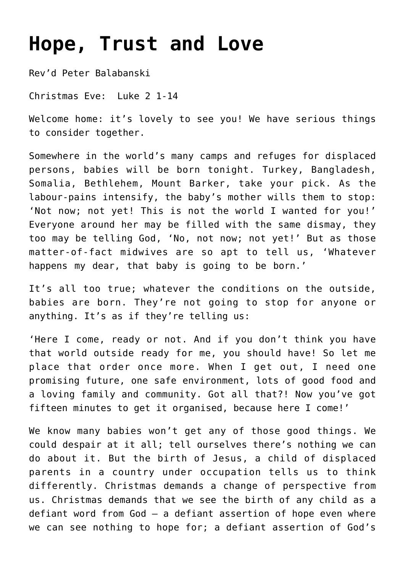## **[Hope, Trust and Love](https://stjohnsadelaide.org.au/god-is-with-us-emmanuel/)**

Rev'd Peter Balabanski

Christmas Eve: Luke 2 1-14

Welcome home: it's lovely to see you! We have serious things to consider together.

Somewhere in the world's many camps and refuges for displaced persons, babies will be born tonight. Turkey, Bangladesh, Somalia, Bethlehem, Mount Barker, take your pick. As the labour-pains intensify, the baby's mother wills them to stop: 'Not now; not yet! This is not the world I wanted for you!' Everyone around her may be filled with the same dismay, they too may be telling God, 'No, not now; not yet!' But as those matter-of-fact midwives are so apt to tell us, 'Whatever happens my dear, that baby is going to be born.'

It's all too true; whatever the conditions on the outside, babies are born. They're not going to stop for anyone or anything. It's as if they're telling us:

'Here I come, ready or not. And if you don't think you have that world outside ready for me, you should have! So let me place that order once more. When I get out, I need one promising future, one safe environment, lots of good food and a loving family and community. Got all that?! Now you've got fifteen minutes to get it organised, because here I come!'

We know many babies won't get any of those good things. We could despair at it all; tell ourselves there's nothing we can do about it. But the birth of Jesus, a child of displaced parents in a country under occupation tells us to think differently. Christmas demands a change of perspective from us. Christmas demands that we see the birth of any child as a defiant word from God – a defiant assertion of hope even where we can see nothing to hope for; a defiant assertion of God's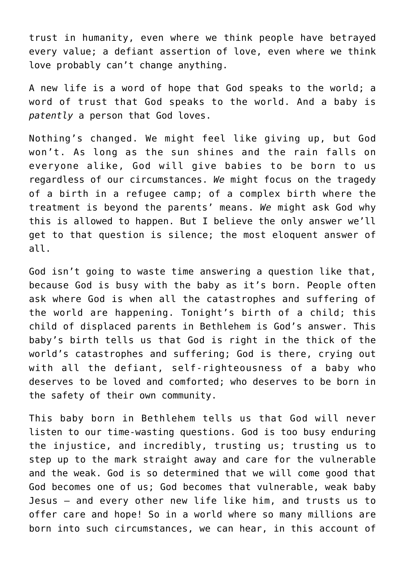trust in humanity, even where we think people have betrayed every value; a defiant assertion of love, even where we think love probably can't change anything.

A new life is a word of hope that God speaks to the world; a word of trust that God speaks to the world. And a baby is *patently* a person that God loves.

Nothing's changed. We might feel like giving up, but God won't. As long as the sun shines and the rain falls on everyone alike, God will give babies to be born to us regardless of our circumstances. *We* might focus on the tragedy of a birth in a refugee camp; of a complex birth where the treatment is beyond the parents' means. *We* might ask God why this is allowed to happen. But I believe the only answer we'll get to that question is silence; the most eloquent answer of all.

God isn't going to waste time answering a question like that, because God is busy with the baby as it's born. People often ask where God is when all the catastrophes and suffering of the world are happening. Tonight's birth of a child; this child of displaced parents in Bethlehem is God's answer. This baby's birth tells us that God is right in the thick of the world's catastrophes and suffering; God is there, crying out with all the defiant, self-righteousness of a baby who deserves to be loved and comforted; who deserves to be born in the safety of their own community.

This baby born in Bethlehem tells us that God will never listen to our time-wasting questions. God is too busy enduring the injustice, and incredibly, trusting us; trusting us to step up to the mark straight away and care for the vulnerable and the weak. God is so determined that we will come good that God becomes one of us; God becomes that vulnerable, weak baby Jesus – and every other new life like him, and trusts us to offer care and hope! So in a world where so many millions are born into such circumstances, we can hear, in this account of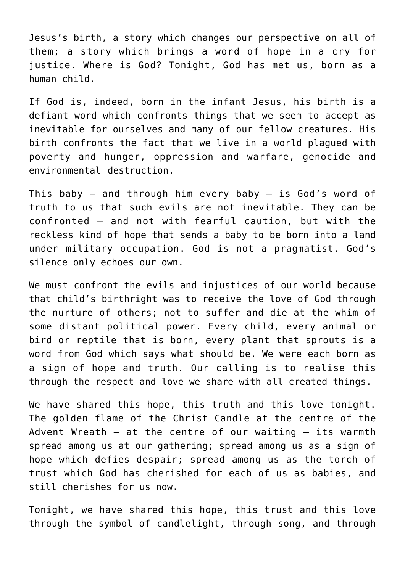Jesus's birth, a story which changes our perspective on all of them; a story which brings a word of hope in a cry for justice. Where is God? Tonight, God has met us, born as a human child.

If God is, indeed, born in the infant Jesus, his birth is a defiant word which confronts things that we seem to accept as inevitable for ourselves and many of our fellow creatures. His birth confronts the fact that we live in a world plagued with poverty and hunger, oppression and warfare, genocide and environmental destruction.

This baby – and through him every baby – is God's word of truth to us that such evils are not inevitable. They can be confronted – and not with fearful caution, but with the reckless kind of hope that sends a baby to be born into a land under military occupation. God is not a pragmatist. God's silence only echoes our own.

We must confront the evils and injustices of our world because that child's birthright was to receive the love of God through the nurture of others; not to suffer and die at the whim of some distant political power. Every child, every animal or bird or reptile that is born, every plant that sprouts is a word from God which says what should be. We were each born as a sign of hope and truth. Our calling is to realise this through the respect and love we share with all created things.

We have shared this hope, this truth and this love tonight. The golden flame of the Christ Candle at the centre of the Advent Wreath  $-$  at the centre of our waiting  $-$  its warmth spread among us at our gathering; spread among us as a sign of hope which defies despair; spread among us as the torch of trust which God has cherished for each of us as babies, and still cherishes for us now.

Tonight, we have shared this hope, this trust and this love through the symbol of candlelight, through song, and through